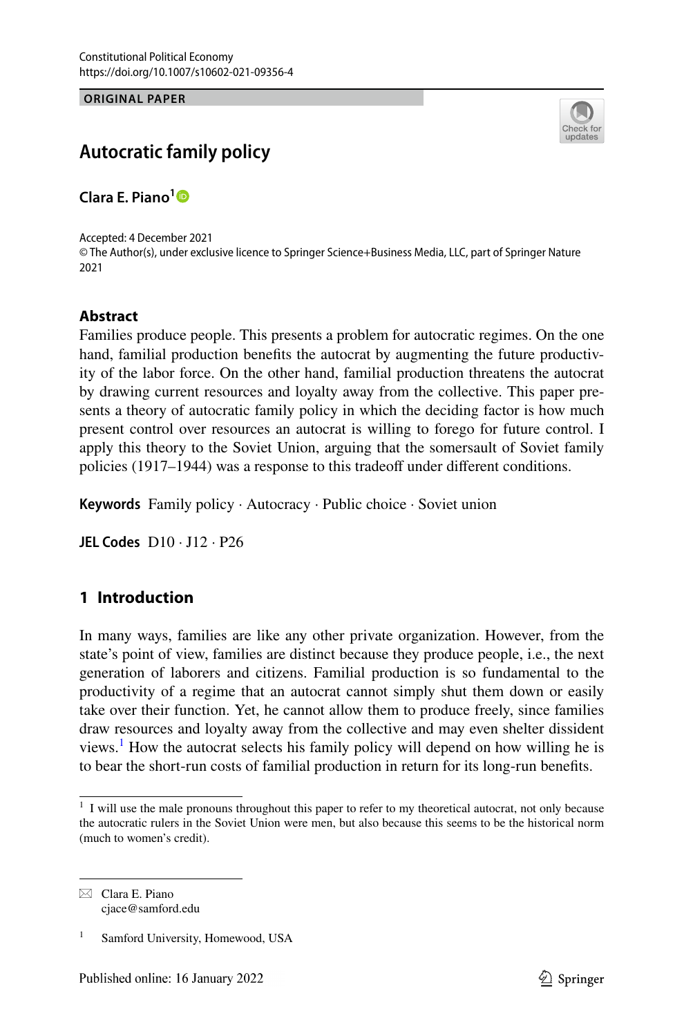**ORIGINAL PAPER**



# **Autocratic family policy**

**Clara E. Piano[1](http://orcid.org/0000-0003-2946-133X)**

Accepted: 4 December 2021 © The Author(s), under exclusive licence to Springer Science+Business Media, LLC, part of Springer Nature 2021

#### **Abstract**

Families produce people. This presents a problem for autocratic regimes. On the one hand, familial production benefts the autocrat by augmenting the future productivity of the labor force. On the other hand, familial production threatens the autocrat by drawing current resources and loyalty away from the collective. This paper presents a theory of autocratic family policy in which the deciding factor is how much present control over resources an autocrat is willing to forego for future control. I apply this theory to the Soviet Union, arguing that the somersault of Soviet family policies (1917–1944) was a response to this tradeoff under different conditions.

**Keywords** Family policy · Autocracy · Public choice · Soviet union

**JEL Codes** D10 · J12 · P26

## **1 Introduction**

In many ways, families are like any other private organization. However, from the state's point of view, families are distinct because they produce people, i.e., the next generation of laborers and citizens. Familial production is so fundamental to the productivity of a regime that an autocrat cannot simply shut them down or easily take over their function. Yet, he cannot allow them to produce freely, since families draw resources and loyalty away from the collective and may even shelter dissident views.<sup>1</sup> How the autocrat selects his family policy will depend on how willing he is to bear the short-run costs of familial production in return for its long-run benefts.

 $\boxtimes$  Clara E. Piano cjace@samford.edu

<span id="page-0-0"></span><sup>&</sup>lt;sup>1</sup> I will use the male pronouns throughout this paper to refer to my theoretical autocrat, not only because the autocratic rulers in the Soviet Union were men, but also because this seems to be the historical norm (much to women's credit).

Samford University, Homewood, USA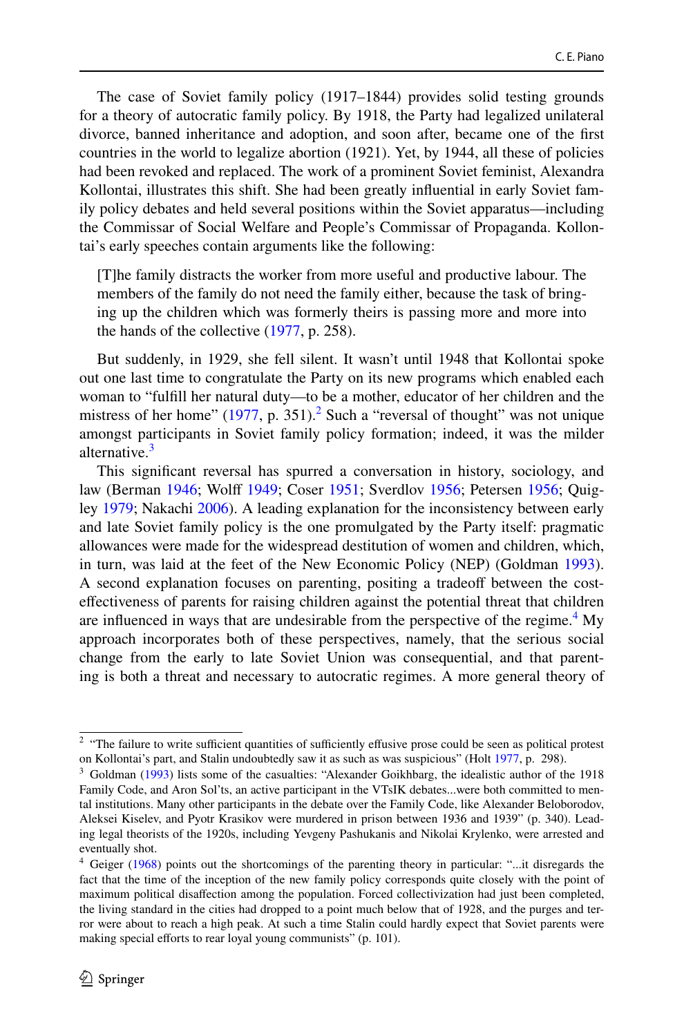The case of Soviet family policy (1917–1844) provides solid testing grounds for a theory of autocratic family policy. By 1918, the Party had legalized unilateral divorce, banned inheritance and adoption, and soon after, became one of the frst countries in the world to legalize abortion (1921). Yet, by 1944, all these of policies had been revoked and replaced. The work of a prominent Soviet feminist, Alexandra Kollontai, illustrates this shift. She had been greatly infuential in early Soviet family policy debates and held several positions within the Soviet apparatus—including the Commissar of Social Welfare and People's Commissar of Propaganda. Kollontai's early speeches contain arguments like the following:

[T]he family distracts the worker from more useful and productive labour. The members of the family do not need the family either, because the task of bringing up the children which was formerly theirs is passing more and more into the hands of the collective [\(1977](#page-19-0), p. 258).

But suddenly, in 1929, she fell silent. It wasn't until 1948 that Kollontai spoke out one last time to congratulate the Party on its new programs which enabled each woman to "fulfll her natural duty—to be a mother, educator of her children and the mistress of her home"  $(1977, p. 351)$  $(1977, p. 351)$ .<sup>2</sup> Such a "reversal of thought" was not unique amongst participants in Soviet family policy formation; indeed, it was the milder alternative.<sup>[3](#page-1-1)</sup>

This signifcant reversal has spurred a conversation in history, sociology, and law (Berman [1946;](#page-18-0) Wolf [1949;](#page-20-0) Coser [1951](#page-18-1); Sverdlov [1956](#page-19-1); Petersen [1956](#page-19-2); Quigley [1979;](#page-19-3) Nakachi [2006\)](#page-19-4). A leading explanation for the inconsistency between early and late Soviet family policy is the one promulgated by the Party itself: pragmatic allowances were made for the widespread destitution of women and children, which, in turn, was laid at the feet of the New Economic Policy (NEP) (Goldman [1993\)](#page-19-5). A second explanation focuses on parenting, positing a tradeoff between the costefectiveness of parents for raising children against the potential threat that children are influenced in ways that are undesirable from the perspective of the regime.<sup>[4](#page-1-2)</sup> My approach incorporates both of these perspectives, namely, that the serious social change from the early to late Soviet Union was consequential, and that parenting is both a threat and necessary to autocratic regimes. A more general theory of

<span id="page-1-0"></span> $2$  "The failure to write sufficient quantities of sufficiently effusive prose could be seen as political protest on Kollontai's part, and Stalin undoubtedly saw it as such as was suspicious" (Holt [1977,](#page-19-6) p. 298).

<span id="page-1-1"></span><sup>3</sup> Goldman ([1993\)](#page-19-5) lists some of the casualties: "Alexander Goikhbarg, the idealistic author of the 1918 Family Code, and Aron Sol'ts, an active participant in the VTsIK debates...were both committed to mental institutions. Many other participants in the debate over the Family Code, like Alexander Beloborodov, Aleksei Kiselev, and Pyotr Krasikov were murdered in prison between 1936 and 1939" (p. 340). Leading legal theorists of the 1920s, including Yevgeny Pashukanis and Nikolai Krylenko, were arrested and eventually shot.

<span id="page-1-2"></span><sup>4</sup> Geiger [\(1968](#page-19-7)) points out the shortcomings of the parenting theory in particular: "...it disregards the fact that the time of the inception of the new family policy corresponds quite closely with the point of maximum political disafection among the population. Forced collectivization had just been completed, the living standard in the cities had dropped to a point much below that of 1928, and the purges and terror were about to reach a high peak. At such a time Stalin could hardly expect that Soviet parents were making special efforts to rear loyal young communists" (p. 101).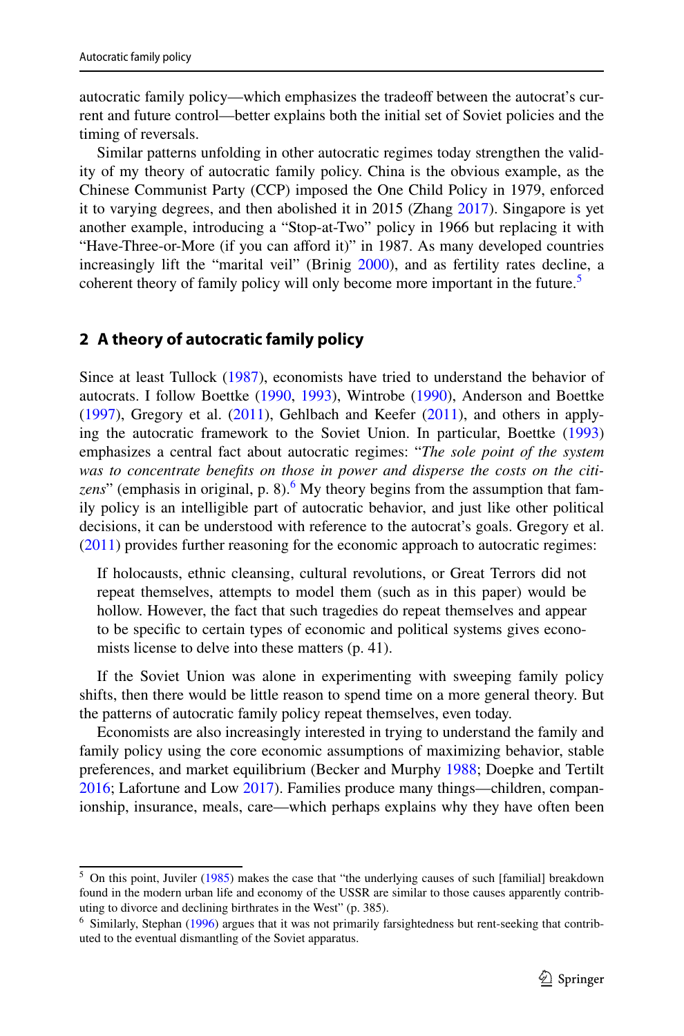autocratic family policy—which emphasizes the tradeoff between the autocrat's current and future control—better explains both the initial set of Soviet policies and the timing of reversals.

Similar patterns unfolding in other autocratic regimes today strengthen the validity of my theory of autocratic family policy. China is the obvious example, as the Chinese Communist Party (CCP) imposed the One Child Policy in 1979, enforced it to varying degrees, and then abolished it in 2015 (Zhang [2017](#page-20-1)). Singapore is yet another example, introducing a "Stop-at-Two" policy in 1966 but replacing it with "Have-Three-or-More (if you can afford it)" in 1987. As many developed countries increasingly lift the "marital veil" (Brinig [2000](#page-18-2)), and as fertility rates decline, a coherent theory of family policy will only become more important in the future.<sup>[5](#page-2-0)</sup>

## **2 A theory of autocratic family policy**

Since at least Tullock [\(1987](#page-19-8)), economists have tried to understand the behavior of autocrats. I follow Boettke [\(1990](#page-18-3), [1993](#page-18-4)), Wintrobe [\(1990](#page-20-2)), Anderson and Boettke  $(1997)$  $(1997)$ , Gregory et al.  $(2011)$  $(2011)$ , Gehlbach and Keefer  $(2011)$ , and others in applying the autocratic framework to the Soviet Union. In particular, Boettke [\(1993](#page-18-4)) emphasizes a central fact about autocratic regimes: "*The sole point of the system was to concentrate benefts on those in power and disperse the costs on the citi-*zens" (emphasis in original, p. 8).<sup>[6](#page-2-1)</sup> My theory begins from the assumption that family policy is an intelligible part of autocratic behavior, and just like other political decisions, it can be understood with reference to the autocrat's goals. Gregory et al. [\(2011](#page-19-9)) provides further reasoning for the economic approach to autocratic regimes:

If holocausts, ethnic cleansing, cultural revolutions, or Great Terrors did not repeat themselves, attempts to model them (such as in this paper) would be hollow. However, the fact that such tragedies do repeat themselves and appear to be specifc to certain types of economic and political systems gives economists license to delve into these matters (p. 41).

If the Soviet Union was alone in experimenting with sweeping family policy shifts, then there would be little reason to spend time on a more general theory. But the patterns of autocratic family policy repeat themselves, even today.

Economists are also increasingly interested in trying to understand the family and family policy using the core economic assumptions of maximizing behavior, stable preferences, and market equilibrium (Becker and Murphy [1988;](#page-18-6) Doepke and Tertilt [2016](#page-19-11); Lafortune and Low [2017](#page-19-12)). Families produce many things—children, companionship, insurance, meals, care—which perhaps explains why they have often been

<span id="page-2-0"></span><sup>5</sup> On this point, Juviler ([1985\)](#page-19-13) makes the case that "the underlying causes of such [familial] breakdown found in the modern urban life and economy of the USSR are similar to those causes apparently contributing to divorce and declining birthrates in the West" (p. 385).

<span id="page-2-1"></span><sup>6</sup> Similarly, Stephan ([1996\)](#page-19-14) argues that it was not primarily farsightedness but rent-seeking that contributed to the eventual dismantling of the Soviet apparatus.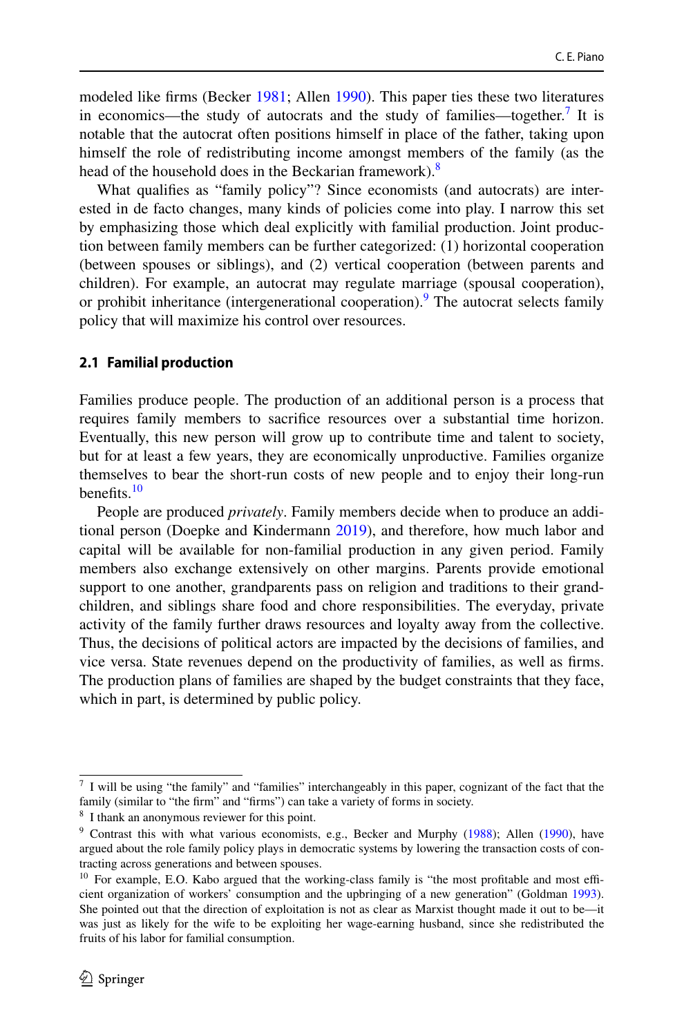modeled like frms (Becker [1981](#page-18-7); Allen [1990](#page-18-8)). This paper ties these two literatures in economics—the study of autocrats and the study of families—together.<sup>[7](#page-3-0)</sup> It is notable that the autocrat often positions himself in place of the father, taking upon himself the role of redistributing income amongst members of the family (as the head of the household does in the Beckarian framework).<sup>[8](#page-3-1)</sup>

What qualifes as "family policy"? Since economists (and autocrats) are interested in de facto changes, many kinds of policies come into play. I narrow this set by emphasizing those which deal explicitly with familial production. Joint production between family members can be further categorized: (1) horizontal cooperation (between spouses or siblings), and (2) vertical cooperation (between parents and children). For example, an autocrat may regulate marriage (spousal cooperation), or prohibit inheritance (intergenerational cooperation). The autocrat selects family policy that will maximize his control over resources.

#### **2.1 Familial production**

Families produce people. The production of an additional person is a process that requires family members to sacrifce resources over a substantial time horizon. Eventually, this new person will grow up to contribute time and talent to society, but for at least a few years, they are economically unproductive. Families organize themselves to bear the short-run costs of new people and to enjoy their long-run benefits. $10$ 

People are produced *privately*. Family members decide when to produce an additional person (Doepke and Kindermann [2019\)](#page-19-15), and therefore, how much labor and capital will be available for non-familial production in any given period. Family members also exchange extensively on other margins. Parents provide emotional support to one another, grandparents pass on religion and traditions to their grandchildren, and siblings share food and chore responsibilities. The everyday, private activity of the family further draws resources and loyalty away from the collective. Thus, the decisions of political actors are impacted by the decisions of families, and vice versa. State revenues depend on the productivity of families, as well as frms. The production plans of families are shaped by the budget constraints that they face, which in part, is determined by public policy.

<span id="page-3-0"></span> $<sup>7</sup>$  I will be using "the family" and "families" interchangeably in this paper, cognizant of the fact that the</sup> family (similar to "the firm" and "firms") can take a variety of forms in society.

<span id="page-3-1"></span><sup>8</sup> I thank an anonymous reviewer for this point.

<span id="page-3-2"></span><sup>9</sup> Contrast this with what various economists, e.g., Becker and Murphy ([1988\)](#page-18-6); Allen [\(1990](#page-18-8)), have argued about the role family policy plays in democratic systems by lowering the transaction costs of contracting across generations and between spouses.

<span id="page-3-3"></span> $10$  For example, E.O. Kabo argued that the working-class family is "the most profitable and most efficient organization of workers' consumption and the upbringing of a new generation" (Goldman [1993\)](#page-19-5). She pointed out that the direction of exploitation is not as clear as Marxist thought made it out to be—it was just as likely for the wife to be exploiting her wage-earning husband, since she redistributed the fruits of his labor for familial consumption.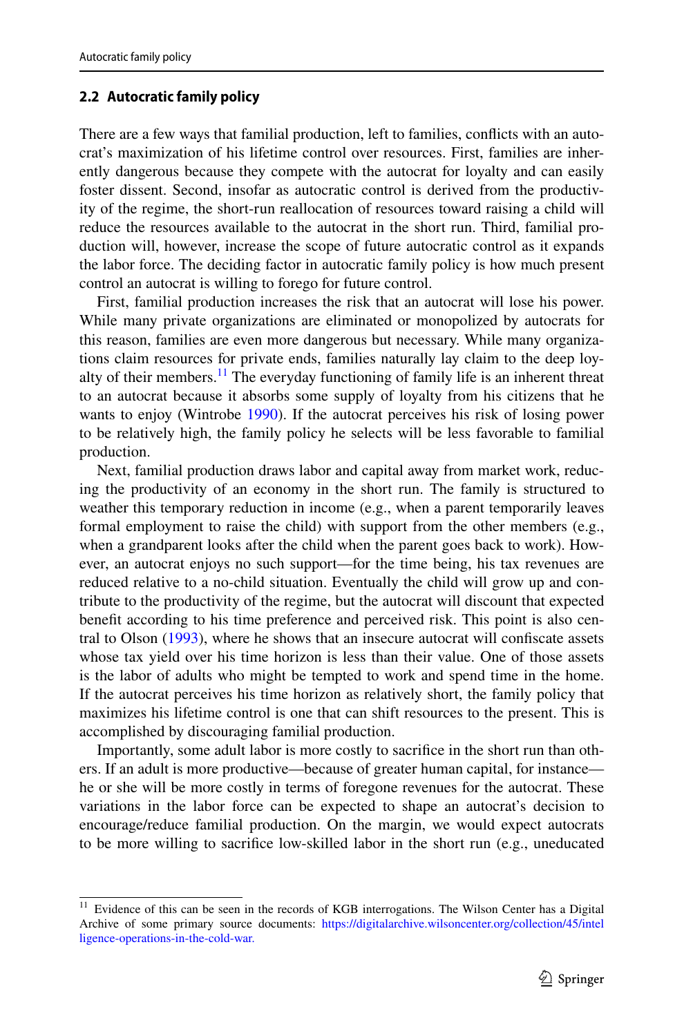#### **2.2 Autocratic family policy**

There are a few ways that familial production, left to families, conficts with an autocrat's maximization of his lifetime control over resources. First, families are inherently dangerous because they compete with the autocrat for loyalty and can easily foster dissent. Second, insofar as autocratic control is derived from the productivity of the regime, the short-run reallocation of resources toward raising a child will reduce the resources available to the autocrat in the short run. Third, familial production will, however, increase the scope of future autocratic control as it expands the labor force. The deciding factor in autocratic family policy is how much present control an autocrat is willing to forego for future control.

First, familial production increases the risk that an autocrat will lose his power. While many private organizations are eliminated or monopolized by autocrats for this reason, families are even more dangerous but necessary. While many organizations claim resources for private ends, families naturally lay claim to the deep loyalty of their members.<sup>11</sup> The everyday functioning of family life is an inherent threat to an autocrat because it absorbs some supply of loyalty from his citizens that he wants to enjoy (Wintrobe [1990\)](#page-20-2). If the autocrat perceives his risk of losing power to be relatively high, the family policy he selects will be less favorable to familial production.

Next, familial production draws labor and capital away from market work, reducing the productivity of an economy in the short run. The family is structured to weather this temporary reduction in income (e.g., when a parent temporarily leaves formal employment to raise the child) with support from the other members (e.g., when a grandparent looks after the child when the parent goes back to work). However, an autocrat enjoys no such support—for the time being, his tax revenues are reduced relative to a no-child situation. Eventually the child will grow up and contribute to the productivity of the regime, but the autocrat will discount that expected beneft according to his time preference and perceived risk. This point is also central to Olson ([1993\)](#page-19-16), where he shows that an insecure autocrat will confscate assets whose tax yield over his time horizon is less than their value. One of those assets is the labor of adults who might be tempted to work and spend time in the home. If the autocrat perceives his time horizon as relatively short, the family policy that maximizes his lifetime control is one that can shift resources to the present. This is accomplished by discouraging familial production.

Importantly, some adult labor is more costly to sacrifce in the short run than others. If an adult is more productive—because of greater human capital, for instance he or she will be more costly in terms of foregone revenues for the autocrat. These variations in the labor force can be expected to shape an autocrat's decision to encourage/reduce familial production. On the margin, we would expect autocrats to be more willing to sacrifce low-skilled labor in the short run (e.g., uneducated

<span id="page-4-0"></span><sup>&</sup>lt;sup>11</sup> Evidence of this can be seen in the records of KGB interrogations. The Wilson Center has a Digital Archive of some primary source documents: [https://digitalarchive.wilsoncenter.org/collection/45/intel](https://digitalarchive.wilsoncenter.org/collection/45/intelligence-operations-in-the-cold-war.) [ligence-operations-in-the-cold-war.](https://digitalarchive.wilsoncenter.org/collection/45/intelligence-operations-in-the-cold-war.)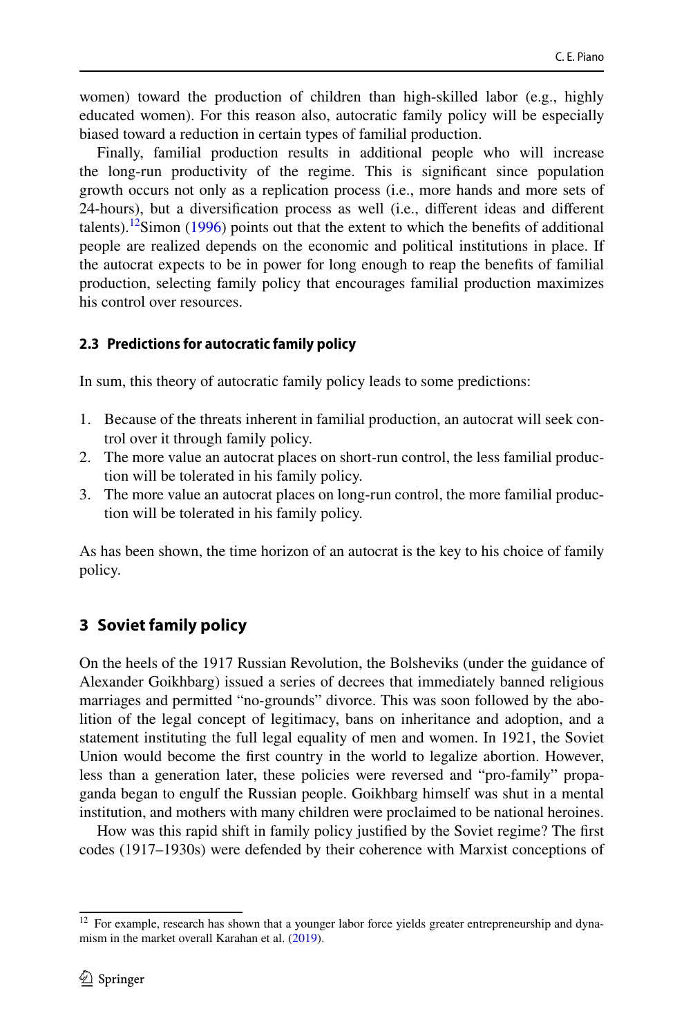women) toward the production of children than high-skilled labor (e.g., highly educated women). For this reason also, autocratic family policy will be especially biased toward a reduction in certain types of familial production.

Finally, familial production results in additional people who will increase the long-run productivity of the regime. This is signifcant since population growth occurs not only as a replication process (i.e., more hands and more sets of 24-hours), but a diversifcation process as well (i.e., diferent ideas and diferent talents).<sup>12</sup>Simon [\(1996](#page-19-17)) points out that the extent to which the benefits of additional people are realized depends on the economic and political institutions in place. If the autocrat expects to be in power for long enough to reap the benefts of familial production, selecting family policy that encourages familial production maximizes his control over resources.

### **2.3 Predictions for autocratic family policy**

In sum, this theory of autocratic family policy leads to some predictions:

- 1. Because of the threats inherent in familial production, an autocrat will seek control over it through family policy.
- 2. The more value an autocrat places on short-run control, the less familial production will be tolerated in his family policy.
- 3. The more value an autocrat places on long-run control, the more familial production will be tolerated in his family policy.

As has been shown, the time horizon of an autocrat is the key to his choice of family policy.

## **3 Soviet family policy**

On the heels of the 1917 Russian Revolution, the Bolsheviks (under the guidance of Alexander Goikhbarg) issued a series of decrees that immediately banned religious marriages and permitted "no-grounds" divorce. This was soon followed by the abolition of the legal concept of legitimacy, bans on inheritance and adoption, and a statement instituting the full legal equality of men and women. In 1921, the Soviet Union would become the frst country in the world to legalize abortion. However, less than a generation later, these policies were reversed and "pro-family" propaganda began to engulf the Russian people. Goikhbarg himself was shut in a mental institution, and mothers with many children were proclaimed to be national heroines.

How was this rapid shift in family policy justifed by the Soviet regime? The frst codes (1917–1930s) were defended by their coherence with Marxist conceptions of

<span id="page-5-0"></span><sup>&</sup>lt;sup>12</sup> For example, research has shown that a younger labor force yields greater entrepreneurship and dynamism in the market overall Karahan et al. ([2019\)](#page-19-18).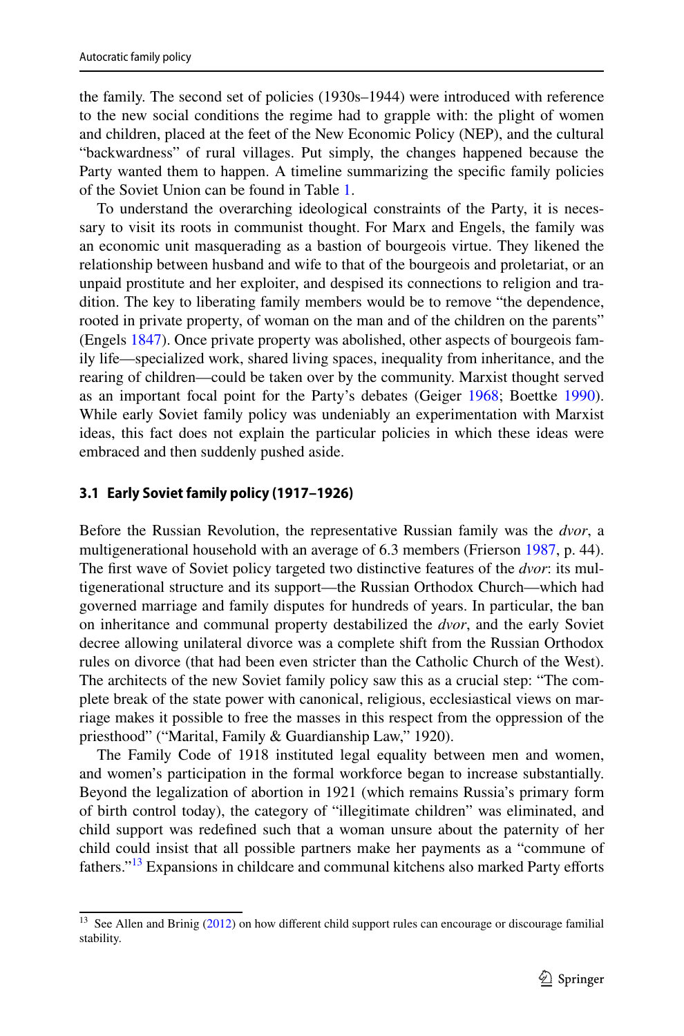the family. The second set of policies (1930s–1944) were introduced with reference to the new social conditions the regime had to grapple with: the plight of women and children, placed at the feet of the New Economic Policy (NEP), and the cultural "backwardness" of rural villages. Put simply, the changes happened because the Party wanted them to happen. A timeline summarizing the specifc family policies of the Soviet Union can be found in Table [1.](#page-7-0)

To understand the overarching ideological constraints of the Party, it is necessary to visit its roots in communist thought. For Marx and Engels, the family was an economic unit masquerading as a bastion of bourgeois virtue. They likened the relationship between husband and wife to that of the bourgeois and proletariat, or an unpaid prostitute and her exploiter, and despised its connections to religion and tradition. The key to liberating family members would be to remove "the dependence, rooted in private property, of woman on the man and of the children on the parents" (Engels [1847\)](#page-19-19). Once private property was abolished, other aspects of bourgeois family life—specialized work, shared living spaces, inequality from inheritance, and the rearing of children—could be taken over by the community. Marxist thought served as an important focal point for the Party's debates (Geiger [1968;](#page-19-7) Boettke [1990\)](#page-18-3). While early Soviet family policy was undeniably an experimentation with Marxist ideas, this fact does not explain the particular policies in which these ideas were embraced and then suddenly pushed aside.

#### **3.1 Early Soviet family policy (1917–1926)**

Before the Russian Revolution, the representative Russian family was the *dvor*, a multigenerational household with an average of 6.3 members (Frierson [1987](#page-19-20), p. 44). The frst wave of Soviet policy targeted two distinctive features of the *dvor*: its multigenerational structure and its support—the Russian Orthodox Church—which had governed marriage and family disputes for hundreds of years. In particular, the ban on inheritance and communal property destabilized the *dvor*, and the early Soviet decree allowing unilateral divorce was a complete shift from the Russian Orthodox rules on divorce (that had been even stricter than the Catholic Church of the West). The architects of the new Soviet family policy saw this as a crucial step: "The complete break of the state power with canonical, religious, ecclesiastical views on marriage makes it possible to free the masses in this respect from the oppression of the priesthood" ("Marital, Family & Guardianship Law," 1920).

The Family Code of 1918 instituted legal equality between men and women, and women's participation in the formal workforce began to increase substantially. Beyond the legalization of abortion in 1921 (which remains Russia's primary form of birth control today), the category of "illegitimate children" was eliminated, and child support was redefned such that a woman unsure about the paternity of her child could insist that all possible partners make her payments as a "commune of fathers."<sup>13</sup> Expansions in childcare and communal kitchens also marked Party efforts

<span id="page-6-0"></span><sup>&</sup>lt;sup>13</sup> See Allen and Brinig ([2012\)](#page-18-9) on how different child support rules can encourage or discourage familial stability.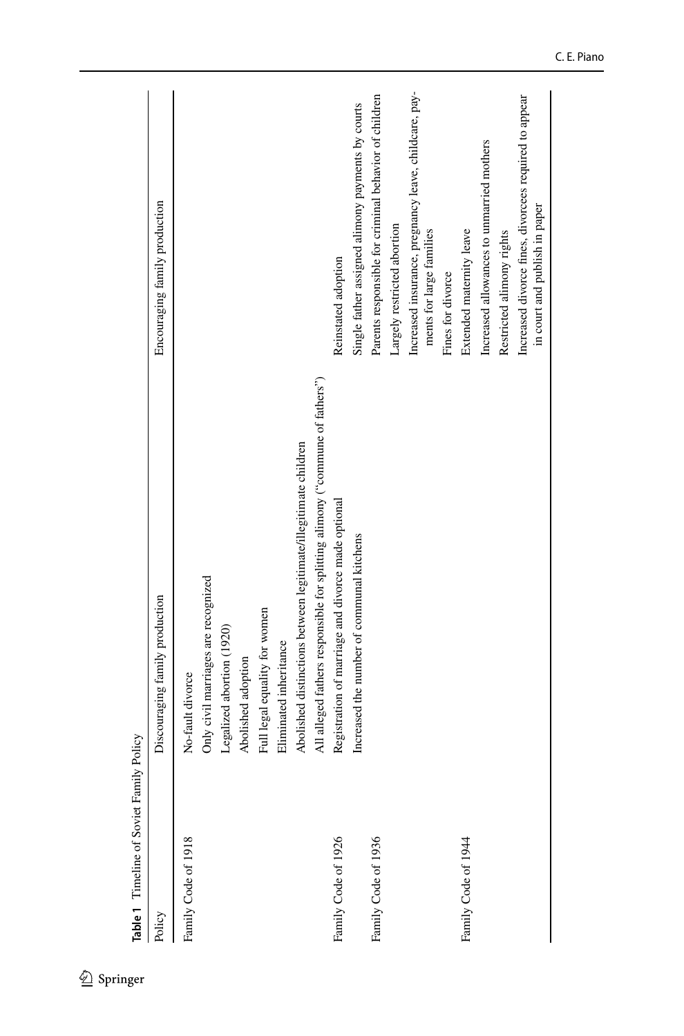<span id="page-7-0"></span>

| Policy              | Discouraging family production                                               | Encouraging family production                                                          |
|---------------------|------------------------------------------------------------------------------|----------------------------------------------------------------------------------------|
| Family Code of 1918 | No-fault divorce                                                             |                                                                                        |
|                     | Only civil marriages are recognized                                          |                                                                                        |
|                     | Legalized abortion (1920)                                                    |                                                                                        |
|                     | Abolished adoption                                                           |                                                                                        |
|                     | Full legal equality for women                                                |                                                                                        |
|                     | Eliminated inheritance                                                       |                                                                                        |
|                     | Abolished distinctions between legitimate/illegitimate children              |                                                                                        |
|                     | All alleged fathers responsible for splitting alimony ("commune of fathers") |                                                                                        |
| Family Code of 1926 | Registration of marriage and divorce made optional                           | Reinstated adoption                                                                    |
|                     | Increased the number of communal kitchens                                    | Single father assigned alimony payments by courts                                      |
| Family Code of 1936 |                                                                              | Parents responsible for criminal behavior of children                                  |
|                     |                                                                              | Largely restricted abortion                                                            |
|                     |                                                                              | Increased insurance, pregnancy leave, childcare, pay-<br>ments for large families      |
|                     |                                                                              | Fines for divorce                                                                      |
| Family Code of 1944 |                                                                              | Extended maternity leave                                                               |
|                     |                                                                              | Increased allowances to unmarried mothers                                              |
|                     |                                                                              | Restricted alimony rights                                                              |
|                     |                                                                              | Increased divorce fines, divorcees required to appear<br>in court and publish in paper |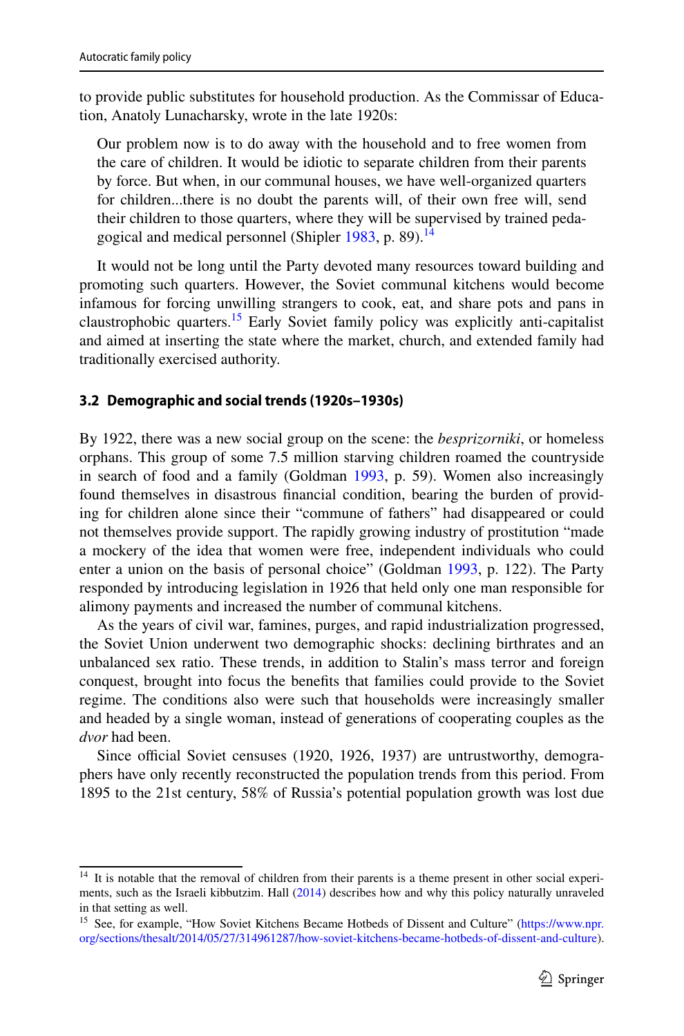to provide public substitutes for household production. As the Commissar of Education, Anatoly Lunacharsky, wrote in the late 1920s:

Our problem now is to do away with the household and to free women from the care of children. It would be idiotic to separate children from their parents by force. But when, in our communal houses, we have well-organized quarters for children...there is no doubt the parents will, of their own free will, send their children to those quarters, where they will be supervised by trained peda-gogical and medical personnel (Shipler [1983,](#page-19-21) p. 89).<sup>14</sup>

It would not be long until the Party devoted many resources toward building and promoting such quarters. However, the Soviet communal kitchens would become infamous for forcing unwilling strangers to cook, eat, and share pots and pans in claustrophobic quarters.<sup>15</sup> Early Soviet family policy was explicitly anti-capitalist and aimed at inserting the state where the market, church, and extended family had traditionally exercised authority.

### **3.2 Demographic and social trends (1920s–1930s)**

By 1922, there was a new social group on the scene: the *besprizorniki*, or homeless orphans. This group of some 7.5 million starving children roamed the countryside in search of food and a family (Goldman [1993](#page-19-5), p. 59). Women also increasingly found themselves in disastrous fnancial condition, bearing the burden of providing for children alone since their "commune of fathers" had disappeared or could not themselves provide support. The rapidly growing industry of prostitution "made a mockery of the idea that women were free, independent individuals who could enter a union on the basis of personal choice" (Goldman [1993](#page-19-5), p. 122). The Party responded by introducing legislation in 1926 that held only one man responsible for alimony payments and increased the number of communal kitchens.

As the years of civil war, famines, purges, and rapid industrialization progressed, the Soviet Union underwent two demographic shocks: declining birthrates and an unbalanced sex ratio. These trends, in addition to Stalin's mass terror and foreign conquest, brought into focus the benefts that families could provide to the Soviet regime. The conditions also were such that households were increasingly smaller and headed by a single woman, instead of generations of cooperating couples as the *dvor* had been.

Since official Soviet censuses (1920, 1926, 1937) are untrustworthy, demographers have only recently reconstructed the population trends from this period. From 1895 to the 21st century, 58% of Russia's potential population growth was lost due

<span id="page-8-0"></span><sup>&</sup>lt;sup>14</sup> It is notable that the removal of children from their parents is a theme present in other social experiments, such as the Israeli kibbutzim. Hall ([2014\)](#page-19-22) describes how and why this policy naturally unraveled in that setting as well.

<span id="page-8-1"></span><sup>&</sup>lt;sup>15</sup> See, for example, "How Soviet Kitchens Became Hotbeds of Dissent and Culture" [\(https://www.npr.](https://www.npr.org/sections/thesalt/2014/05/27/314961287/how-soviet-kitchens-became-hotbeds-of-dissent-and-culture) [org/sections/thesalt/2014/05/27/314961287/how-soviet-kitchens-became-hotbeds-of-dissent-and-culture\)](https://www.npr.org/sections/thesalt/2014/05/27/314961287/how-soviet-kitchens-became-hotbeds-of-dissent-and-culture).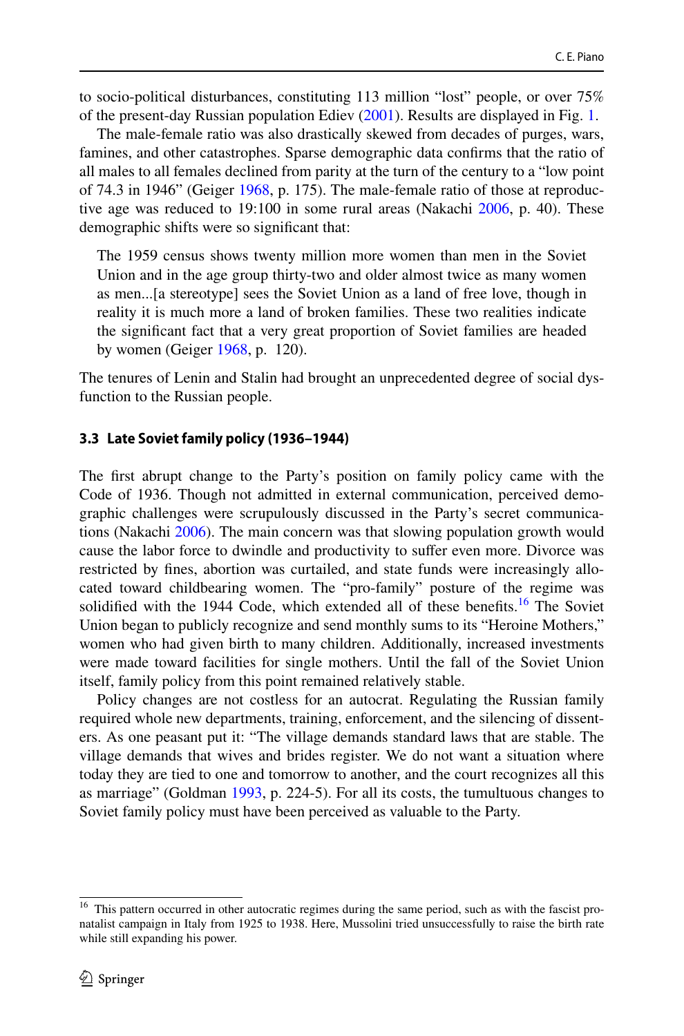to socio-political disturbances, constituting 113 million "lost" people, or over 75% of the present-day Russian population Ediev ([2001\)](#page-19-23). Results are displayed in Fig. [1.](#page-10-0)

The male-female ratio was also drastically skewed from decades of purges, wars, famines, and other catastrophes. Sparse demographic data confrms that the ratio of all males to all females declined from parity at the turn of the century to a "low point of 74.3 in 1946" (Geiger [1968](#page-19-7), p. 175). The male-female ratio of those at reproductive age was reduced to 19:100 in some rural areas (Nakachi [2006,](#page-19-4) p. 40). These demographic shifts were so signifcant that:

The 1959 census shows twenty million more women than men in the Soviet Union and in the age group thirty-two and older almost twice as many women as men...[a stereotype] sees the Soviet Union as a land of free love, though in reality it is much more a land of broken families. These two realities indicate the signifcant fact that a very great proportion of Soviet families are headed by women (Geiger [1968](#page-19-7), p. 120).

The tenures of Lenin and Stalin had brought an unprecedented degree of social dysfunction to the Russian people.

#### **3.3 Late Soviet family policy (1936–1944)**

The frst abrupt change to the Party's position on family policy came with the Code of 1936. Though not admitted in external communication, perceived demographic challenges were scrupulously discussed in the Party's secret communications (Nakachi [2006](#page-19-4)). The main concern was that slowing population growth would cause the labor force to dwindle and productivity to sufer even more. Divorce was restricted by fnes, abortion was curtailed, and state funds were increasingly allocated toward childbearing women. The "pro-family" posture of the regime was solidified with the 1944 Code, which extended all of these benefits.<sup>16</sup> The Soviet Union began to publicly recognize and send monthly sums to its "Heroine Mothers," women who had given birth to many children. Additionally, increased investments were made toward facilities for single mothers. Until the fall of the Soviet Union itself, family policy from this point remained relatively stable.

Policy changes are not costless for an autocrat. Regulating the Russian family required whole new departments, training, enforcement, and the silencing of dissenters. As one peasant put it: "The village demands standard laws that are stable. The village demands that wives and brides register. We do not want a situation where today they are tied to one and tomorrow to another, and the court recognizes all this as marriage" (Goldman [1993,](#page-19-5) p. 224-5). For all its costs, the tumultuous changes to Soviet family policy must have been perceived as valuable to the Party.

<span id="page-9-0"></span><sup>&</sup>lt;sup>16</sup> This pattern occurred in other autocratic regimes during the same period, such as with the fascist pronatalist campaign in Italy from 1925 to 1938. Here, Mussolini tried unsuccessfully to raise the birth rate while still expanding his power.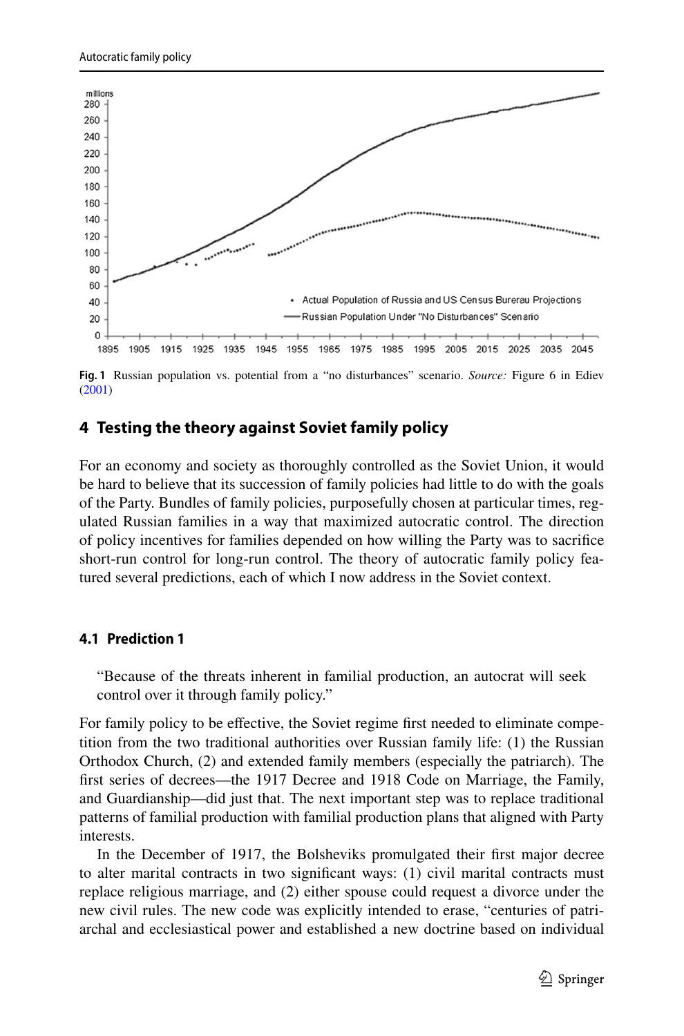

<span id="page-10-0"></span>**Fig. 1** Russian population vs. potential from a "no disturbances" scenario. *Source:* Figure 6 in Ediev ([2001\)](#page-19-23)

## **4 Testing the theory against Soviet family policy**

For an economy and society as thoroughly controlled as the Soviet Union, it would be hard to believe that its succession of family policies had little to do with the goals of the Party. Bundles of family policies, purposefully chosen at particular times, regulated Russian families in a way that maximized autocratic control. The direction of policy incentives for families depended on how willing the Party was to sacrifce short-run control for long-run control. The theory of autocratic family policy featured several predictions, each of which I now address in the Soviet context.

#### **4.1 Prediction 1**

"Because of the threats inherent in familial production, an autocrat will seek control over it through family policy."

For family policy to be effective, the Soviet regime first needed to eliminate competition from the two traditional authorities over Russian family life: (1) the Russian Orthodox Church, (2) and extended family members (especially the patriarch). The frst series of decrees—the 1917 Decree and 1918 Code on Marriage, the Family, and Guardianship—did just that. The next important step was to replace traditional patterns of familial production with familial production plans that aligned with Party interests.

In the December of 1917, the Bolsheviks promulgated their frst major decree to alter marital contracts in two signifcant ways: (1) civil marital contracts must replace religious marriage, and (2) either spouse could request a divorce under the new civil rules. The new code was explicitly intended to erase, "centuries of patriarchal and ecclesiastical power and established a new doctrine based on individual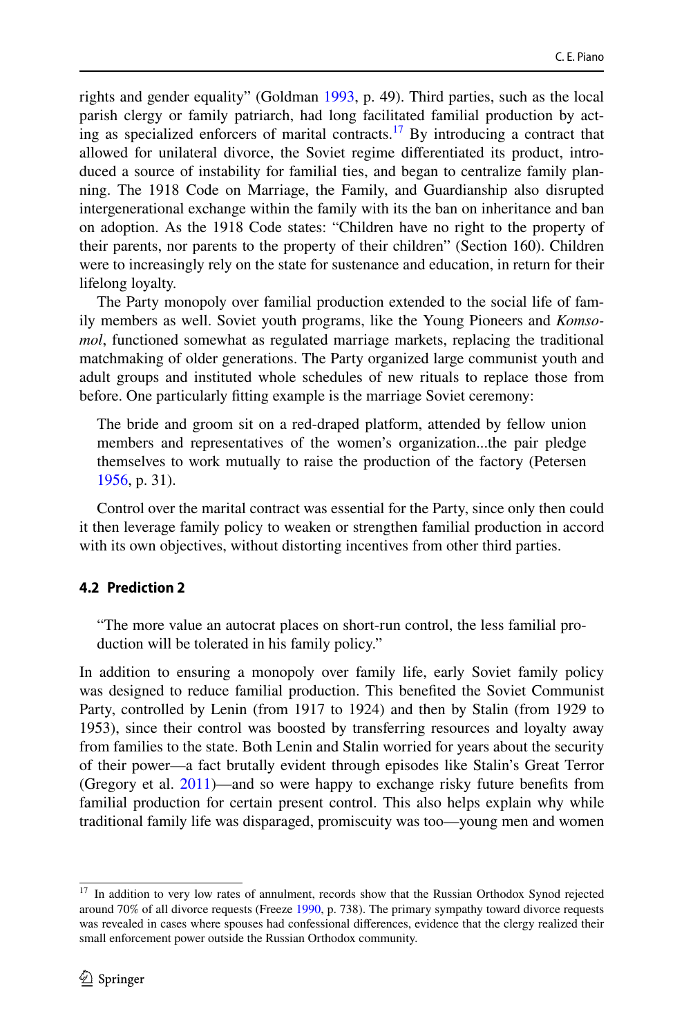rights and gender equality" (Goldman [1993](#page-19-5), p. 49). Third parties, such as the local parish clergy or family patriarch, had long facilitated familial production by acting as specialized enforcers of marital contracts.<sup>17</sup> By introducing a contract that allowed for unilateral divorce, the Soviet regime diferentiated its product, introduced a source of instability for familial ties, and began to centralize family planning. The 1918 Code on Marriage, the Family, and Guardianship also disrupted intergenerational exchange within the family with its the ban on inheritance and ban on adoption. As the 1918 Code states: "Children have no right to the property of their parents, nor parents to the property of their children" (Section 160). Children were to increasingly rely on the state for sustenance and education, in return for their lifelong loyalty.

The Party monopoly over familial production extended to the social life of family members as well. Soviet youth programs, like the Young Pioneers and *Komsomol*, functioned somewhat as regulated marriage markets, replacing the traditional matchmaking of older generations. The Party organized large communist youth and adult groups and instituted whole schedules of new rituals to replace those from before. One particularly ftting example is the marriage Soviet ceremony:

The bride and groom sit on a red-draped platform, attended by fellow union members and representatives of the women's organization...the pair pledge themselves to work mutually to raise the production of the factory (Petersen [1956](#page-19-2), p. 31).

Control over the marital contract was essential for the Party, since only then could it then leverage family policy to weaken or strengthen familial production in accord with its own objectives, without distorting incentives from other third parties.

## **4.2 Prediction 2**

"The more value an autocrat places on short-run control, the less familial production will be tolerated in his family policy."

In addition to ensuring a monopoly over family life, early Soviet family policy was designed to reduce familial production. This benefted the Soviet Communist Party, controlled by Lenin (from 1917 to 1924) and then by Stalin (from 1929 to 1953), since their control was boosted by transferring resources and loyalty away from families to the state. Both Lenin and Stalin worried for years about the security of their power—a fact brutally evident through episodes like Stalin's Great Terror (Gregory et al. [2011\)](#page-19-9)—and so were happy to exchange risky future benefts from familial production for certain present control. This also helps explain why while traditional family life was disparaged, promiscuity was too—young men and women

<span id="page-11-0"></span><sup>&</sup>lt;sup>17</sup> In addition to very low rates of annulment, records show that the Russian Orthodox Synod rejected around 70% of all divorce requests (Freeze [1990](#page-19-24), p. 738). The primary sympathy toward divorce requests was revealed in cases where spouses had confessional diferences, evidence that the clergy realized their small enforcement power outside the Russian Orthodox community.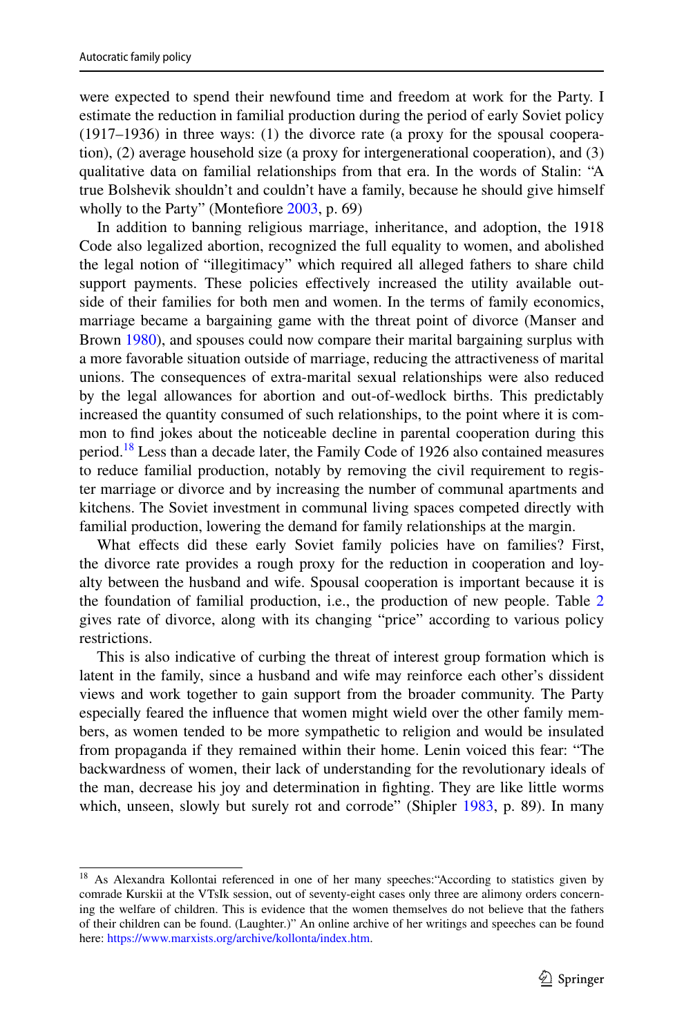were expected to spend their newfound time and freedom at work for the Party. I estimate the reduction in familial production during the period of early Soviet policy (1917–1936) in three ways: (1) the divorce rate (a proxy for the spousal cooperation), (2) average household size (a proxy for intergenerational cooperation), and (3) qualitative data on familial relationships from that era. In the words of Stalin: "A true Bolshevik shouldn't and couldn't have a family, because he should give himself wholly to the Party" (Montefore [2003,](#page-19-25) p. 69)

In addition to banning religious marriage, inheritance, and adoption, the 1918 Code also legalized abortion, recognized the full equality to women, and abolished the legal notion of "illegitimacy" which required all alleged fathers to share child support payments. These policies effectively increased the utility available outside of their families for both men and women. In the terms of family economics, marriage became a bargaining game with the threat point of divorce (Manser and Brown [1980\)](#page-19-26), and spouses could now compare their marital bargaining surplus with a more favorable situation outside of marriage, reducing the attractiveness of marital unions. The consequences of extra-marital sexual relationships were also reduced by the legal allowances for abortion and out-of-wedlock births. This predictably increased the quantity consumed of such relationships, to the point where it is common to fnd jokes about the noticeable decline in parental cooperation during this period.<sup>18</sup> Less than a decade later, the Family Code of 1926 also contained measures to reduce familial production, notably by removing the civil requirement to register marriage or divorce and by increasing the number of communal apartments and kitchens. The Soviet investment in communal living spaces competed directly with familial production, lowering the demand for family relationships at the margin.

What effects did these early Soviet family policies have on families? First, the divorce rate provides a rough proxy for the reduction in cooperation and loyalty between the husband and wife. Spousal cooperation is important because it is the foundation of familial production, i.e., the production of new people. Table [2](#page-14-0) gives rate of divorce, along with its changing "price" according to various policy restrictions.

This is also indicative of curbing the threat of interest group formation which is latent in the family, since a husband and wife may reinforce each other's dissident views and work together to gain support from the broader community. The Party especially feared the infuence that women might wield over the other family members, as women tended to be more sympathetic to religion and would be insulated from propaganda if they remained within their home. Lenin voiced this fear: "The backwardness of women, their lack of understanding for the revolutionary ideals of the man, decrease his joy and determination in fghting. They are like little worms which, unseen, slowly but surely rot and corrode" (Shipler [1983](#page-19-21), p. 89). In many

<span id="page-12-0"></span><sup>&</sup>lt;sup>18</sup> As Alexandra Kollontai referenced in one of her many speeches: "According to statistics given by comrade Kurskii at the VTsIk session, out of seventy-eight cases only three are alimony orders concerning the welfare of children. This is evidence that the women themselves do not believe that the fathers of their children can be found. (Laughter.)" An online archive of her writings and speeches can be found here: [https://www.marxists.org/archive/kollonta/index.htm.](https://www.marxists.org/archive/kollonta/index.htm)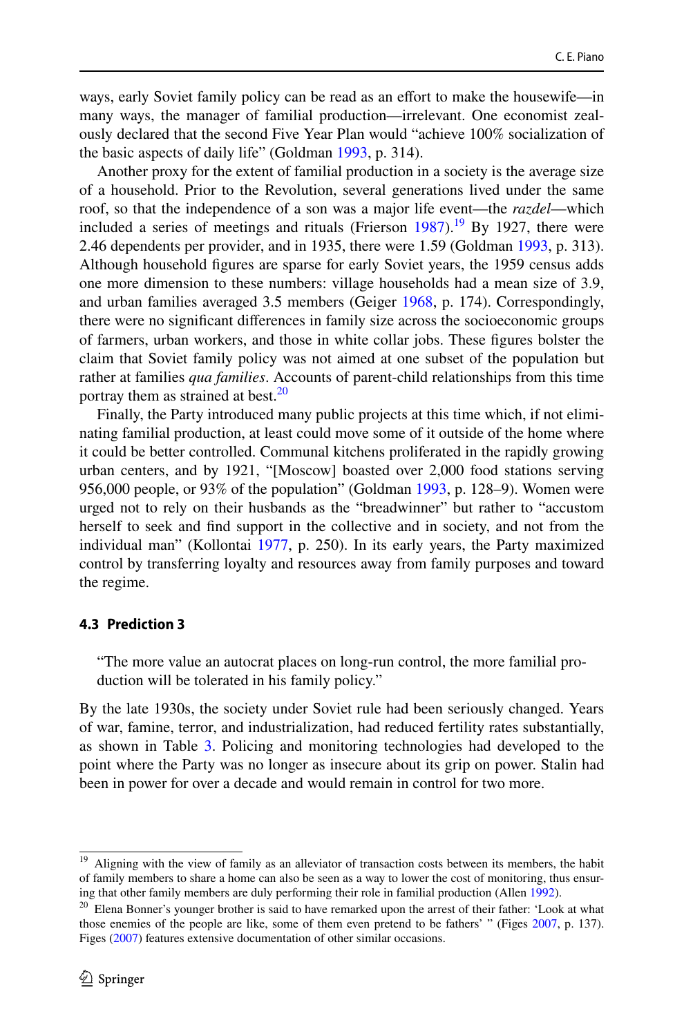ways, early Soviet family policy can be read as an efort to make the housewife—in many ways, the manager of familial production—irrelevant. One economist zealously declared that the second Five Year Plan would "achieve 100% socialization of the basic aspects of daily life" (Goldman [1993](#page-19-5), p. 314).

Another proxy for the extent of familial production in a society is the average size of a household. Prior to the Revolution, several generations lived under the same roof, so that the independence of a son was a major life event—the *razdel*—which included a series of meetings and rituals (Frierson  $1987$ ).<sup>19</sup> By 1927, there were 2.46 dependents per provider, and in 1935, there were 1.59 (Goldman [1993](#page-19-5), p. 313). Although household fgures are sparse for early Soviet years, the 1959 census adds one more dimension to these numbers: village households had a mean size of 3.9, and urban families averaged 3.5 members (Geiger [1968](#page-19-7), p. 174). Correspondingly, there were no signifcant diferences in family size across the socioeconomic groups of farmers, urban workers, and those in white collar jobs. These fgures bolster the claim that Soviet family policy was not aimed at one subset of the population but rather at families *qua families*. Accounts of parent-child relationships from this time portray them as strained at best.<sup>[20](#page-13-1)</sup>

Finally, the Party introduced many public projects at this time which, if not eliminating familial production, at least could move some of it outside of the home where it could be better controlled. Communal kitchens proliferated in the rapidly growing urban centers, and by 1921, "[Moscow] boasted over 2,000 food stations serving 956,000 people, or 93% of the population" (Goldman [1993](#page-19-5), p. 128–9). Women were urged not to rely on their husbands as the "breadwinner" but rather to "accustom herself to seek and fnd support in the collective and in society, and not from the individual man" (Kollontai [1977](#page-19-0), p. 250). In its early years, the Party maximized control by transferring loyalty and resources away from family purposes and toward the regime.

#### **4.3 Prediction 3**

"The more value an autocrat places on long-run control, the more familial production will be tolerated in his family policy."

By the late 1930s, the society under Soviet rule had been seriously changed. Years of war, famine, terror, and industrialization, had reduced fertility rates substantially, as shown in Table [3](#page-14-1). Policing and monitoring technologies had developed to the point where the Party was no longer as insecure about its grip on power. Stalin had been in power for over a decade and would remain in control for two more.

<span id="page-13-0"></span><sup>&</sup>lt;sup>19</sup> Aligning with the view of family as an alleviator of transaction costs between its members, the habit of family members to share a home can also be seen as a way to lower the cost of monitoring, thus ensuring that other family members are duly performing their role in familial production (Allen [1992\)](#page-18-10).

<span id="page-13-1"></span><sup>&</sup>lt;sup>20</sup> Elena Bonner's younger brother is said to have remarked upon the arrest of their father: 'Look at what those enemies of the people are like, some of them even pretend to be fathers' " (Figes [2007](#page-19-27), p. 137). Figes ([2007\)](#page-19-27) features extensive documentation of other similar occasions.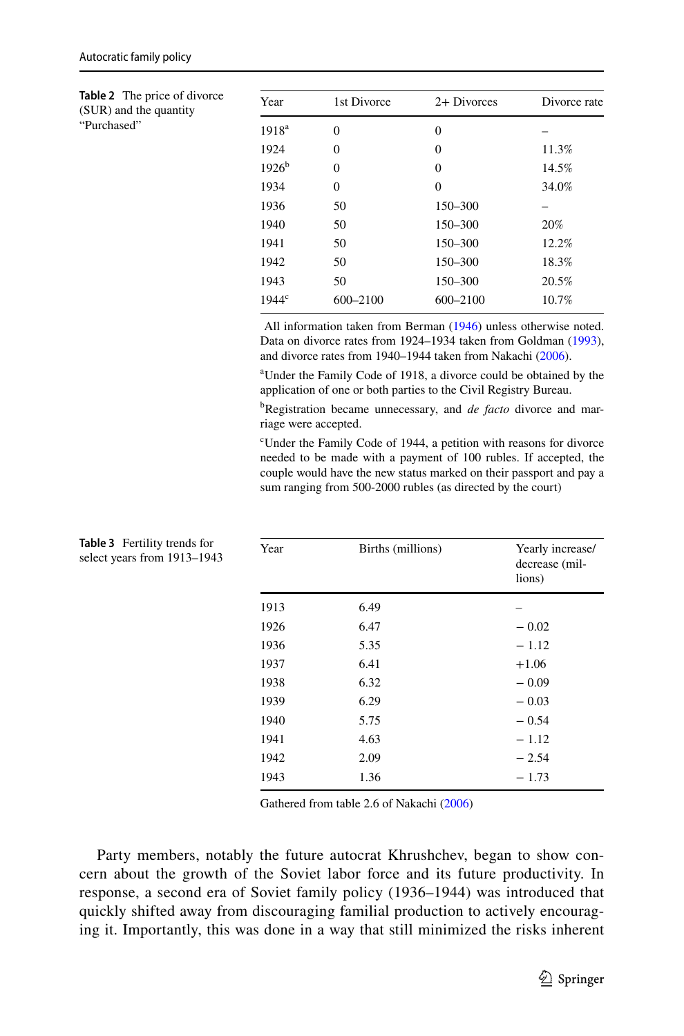| Autocratic family policy |  |  |  |  |
|--------------------------|--|--|--|--|
|--------------------------|--|--|--|--|

<span id="page-14-0"></span>**Table 2** The price of divorce (SUR) and the quantity "Purchased"

| Year              | 1st Divorce | 2+ Divorces  | Divorce rate |
|-------------------|-------------|--------------|--------------|
| 1918 <sup>a</sup> | $\theta$    | $\theta$     |              |
| 1924              | $\theta$    | $\Omega$     | 11.3%        |
| $1926^b$          | $\theta$    | $\Omega$     | 14.5%        |
| 1934              | $\theta$    | 0            | 34.0%        |
| 1936              | 50          | 150-300      |              |
| 1940              | 50          | 150-300      | 20%          |
| 1941              | 50          | 150-300      | 12.2%        |
| 1942              | 50          | 150-300      | 18.3%        |
| 1943              | 50          | 150-300      | 20.5%        |
| 1944 <sup>c</sup> | 600-2100    | $600 - 2100$ | 10.7%        |

 All information taken from Berman [\(1946](#page-18-0)) unless otherwise noted. Data on divorce rates from 1924–1934 taken from Goldman ([1993\)](#page-19-5), and divorce rates from 1940–1944 taken from Nakachi [\(2006](#page-19-4)).

a Under the Family Code of 1918, a divorce could be obtained by the application of one or both parties to the Civil Registry Bureau.

b Registration became unnecessary, and *de facto* divorce and marriage were accepted.

c Under the Family Code of 1944, a petition with reasons for divorce needed to be made with a payment of 100 rubles. If accepted, the couple would have the new status marked on their passport and pay a sum ranging from 500-2000 rubles (as directed by the court)

| Year | Births (millions) | Yearly increase/<br>decrease (mil-<br>lions) |
|------|-------------------|----------------------------------------------|
| 1913 | 6.49              |                                              |
| 1926 | 6.47              | $-0.02$                                      |
| 1936 | 5.35              | $-1.12$                                      |
| 1937 | 6.41              | $+1.06$                                      |
| 1938 | 6.32              | $-0.09$                                      |
| 1939 | 6.29              | $-0.03$                                      |
| 1940 | 5.75              | $-0.54$                                      |
| 1941 | 4.63              | $-1.12$                                      |
| 1942 | 2.09              | $-2.54$                                      |
| 1943 | 1.36              | $-1.73$                                      |

<span id="page-14-1"></span>**Table 3** Fertility trends for select years from 1913–1943

Gathered from table 2.6 of Nakachi [\(2006](#page-19-4))

Party members, notably the future autocrat Khrushchev, began to show concern about the growth of the Soviet labor force and its future productivity. In response, a second era of Soviet family policy (1936–1944) was introduced that quickly shifted away from discouraging familial production to actively encouraging it. Importantly, this was done in a way that still minimized the risks inherent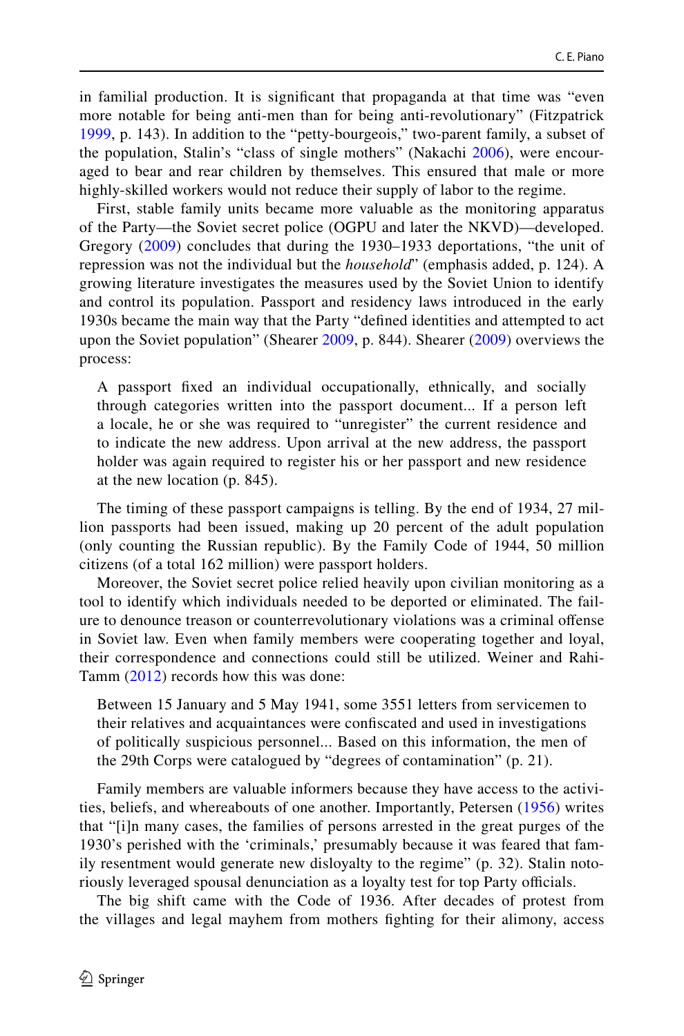in familial production. It is signifcant that propaganda at that time was "even more notable for being anti-men than for being anti-revolutionary" (Fitzpatrick [1999,](#page-19-28) p. 143). In addition to the "petty-bourgeois," two-parent family, a subset of the population, Stalin's "class of single mothers" (Nakachi [2006](#page-19-4)), were encouraged to bear and rear children by themselves. This ensured that male or more highly-skilled workers would not reduce their supply of labor to the regime.

First, stable family units became more valuable as the monitoring apparatus of the Party—the Soviet secret police (OGPU and later the NKVD)—developed. Gregory ([2009](#page-19-29)) concludes that during the 1930–1933 deportations, "the unit of repression was not the individual but the *household*" (emphasis added, p. 124). A growing literature investigates the measures used by the Soviet Union to identify and control its population. Passport and residency laws introduced in the early 1930s became the main way that the Party "defned identities and attempted to act upon the Soviet population" (Shearer [2009,](#page-19-30) p. 844). Shearer ([2009](#page-19-30)) overviews the process:

A passport fxed an individual occupationally, ethnically, and socially through categories written into the passport document... If a person left a locale, he or she was required to "unregister" the current residence and to indicate the new address. Upon arrival at the new address, the passport holder was again required to register his or her passport and new residence at the new location (p. 845).

The timing of these passport campaigns is telling. By the end of 1934, 27 million passports had been issued, making up 20 percent of the adult population (only counting the Russian republic). By the Family Code of 1944, 50 million citizens (of a total 162 million) were passport holders.

Moreover, the Soviet secret police relied heavily upon civilian monitoring as a tool to identify which individuals needed to be deported or eliminated. The failure to denounce treason or counterrevolutionary violations was a criminal ofense in Soviet law. Even when family members were cooperating together and loyal, their correspondence and connections could still be utilized. Weiner and Rahi-Tamm [\(2012\)](#page-20-3) records how this was done:

Between 15 January and 5 May 1941, some 3551 letters from servicemen to their relatives and acquaintances were confscated and used in investigations of politically suspicious personnel... Based on this information, the men of the 29th Corps were catalogued by "degrees of contamination" (p. 21).

Family members are valuable informers because they have access to the activities, beliefs, and whereabouts of one another. Importantly, Petersen [\(1956\)](#page-19-2) writes that "[i]n many cases, the families of persons arrested in the great purges of the 1930's perished with the 'criminals,' presumably because it was feared that family resentment would generate new disloyalty to the regime" (p. 32). Stalin notoriously leveraged spousal denunciation as a loyalty test for top Party officials.

The big shift came with the Code of 1936. After decades of protest from the villages and legal mayhem from mothers fghting for their alimony, access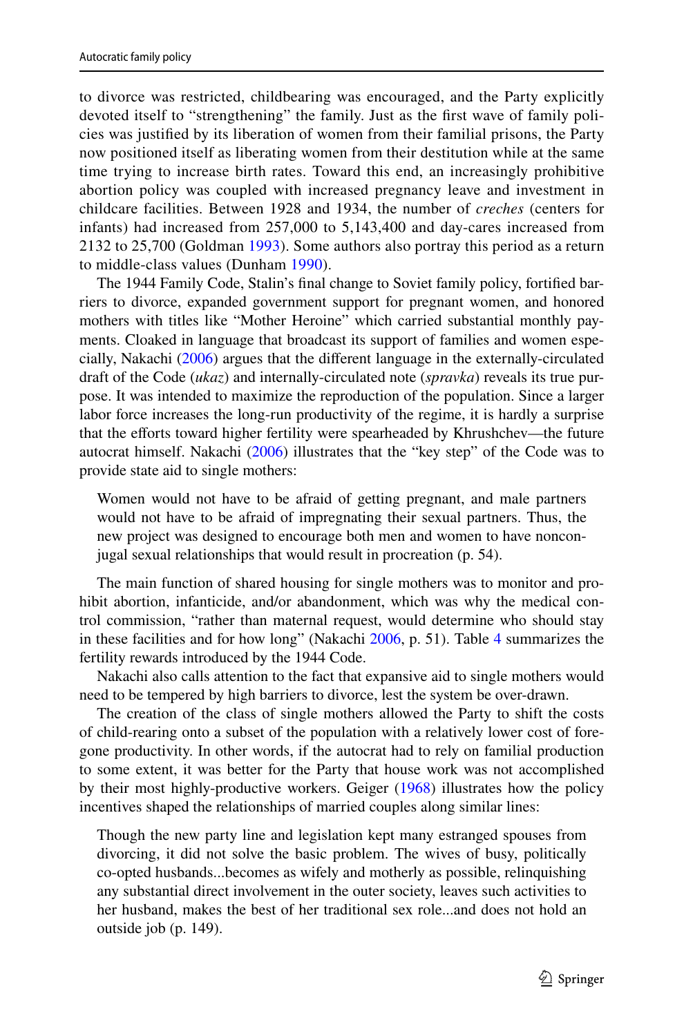to divorce was restricted, childbearing was encouraged, and the Party explicitly devoted itself to "strengthening" the family. Just as the frst wave of family policies was justifed by its liberation of women from their familial prisons, the Party now positioned itself as liberating women from their destitution while at the same time trying to increase birth rates. Toward this end, an increasingly prohibitive abortion policy was coupled with increased pregnancy leave and investment in childcare facilities. Between 1928 and 1934, the number of *creches* (centers for infants) had increased from 257,000 to 5,143,400 and day-cares increased from 2132 to 25,700 (Goldman [1993](#page-19-5)). Some authors also portray this period as a return to middle-class values (Dunham [1990](#page-19-31)).

The 1944 Family Code, Stalin's fnal change to Soviet family policy, fortifed barriers to divorce, expanded government support for pregnant women, and honored mothers with titles like "Mother Heroine" which carried substantial monthly payments. Cloaked in language that broadcast its support of families and women especially, Nakachi ([2006\)](#page-19-4) argues that the diferent language in the externally-circulated draft of the Code (*ukaz*) and internally-circulated note (*spravka*) reveals its true purpose. It was intended to maximize the reproduction of the population. Since a larger labor force increases the long-run productivity of the regime, it is hardly a surprise that the efforts toward higher fertility were spearheaded by Khrushchev—the future autocrat himself. Nakachi ([2006\)](#page-19-4) illustrates that the "key step" of the Code was to provide state aid to single mothers:

Women would not have to be afraid of getting pregnant, and male partners would not have to be afraid of impregnating their sexual partners. Thus, the new project was designed to encourage both men and women to have nonconjugal sexual relationships that would result in procreation (p. 54).

The main function of shared housing for single mothers was to monitor and prohibit abortion, infanticide, and/or abandonment, which was why the medical control commission, "rather than maternal request, would determine who should stay in these facilities and for how long" (Nakachi [2006,](#page-19-4) p. 51). Table [4](#page-18-11) summarizes the fertility rewards introduced by the 1944 Code.

Nakachi also calls attention to the fact that expansive aid to single mothers would need to be tempered by high barriers to divorce, lest the system be over-drawn.

The creation of the class of single mothers allowed the Party to shift the costs of child-rearing onto a subset of the population with a relatively lower cost of foregone productivity. In other words, if the autocrat had to rely on familial production to some extent, it was better for the Party that house work was not accomplished by their most highly-productive workers. Geiger ([1968\)](#page-19-7) illustrates how the policy incentives shaped the relationships of married couples along similar lines:

Though the new party line and legislation kept many estranged spouses from divorcing, it did not solve the basic problem. The wives of busy, politically co-opted husbands...becomes as wifely and motherly as possible, relinquishing any substantial direct involvement in the outer society, leaves such activities to her husband, makes the best of her traditional sex role...and does not hold an outside job (p. 149).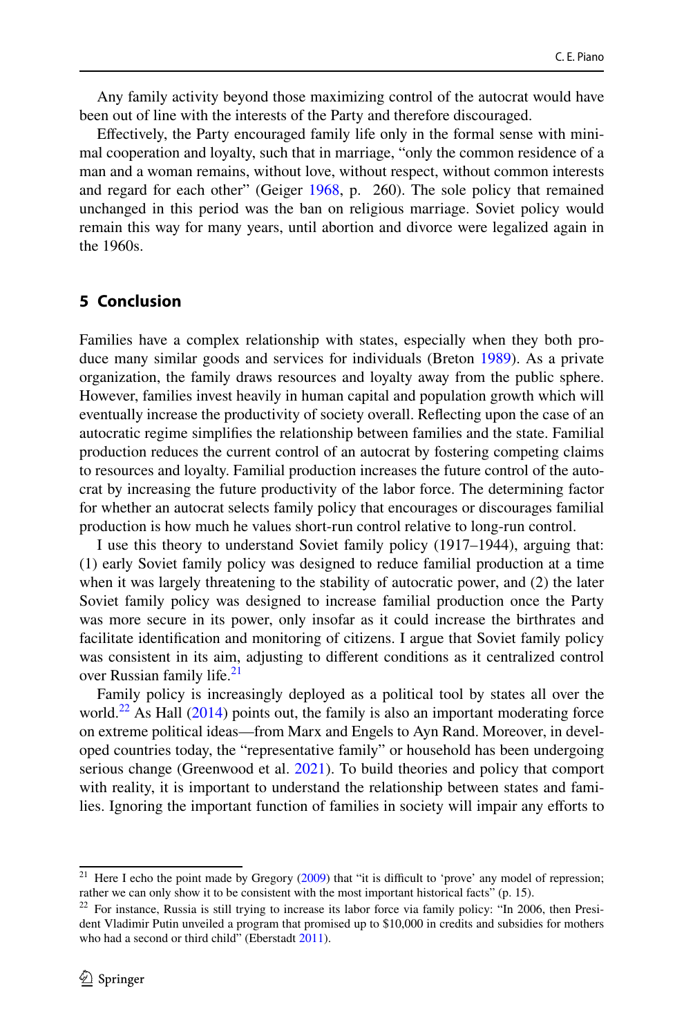Any family activity beyond those maximizing control of the autocrat would have been out of line with the interests of the Party and therefore discouraged.

Efectively, the Party encouraged family life only in the formal sense with minimal cooperation and loyalty, such that in marriage, "only the common residence of a man and a woman remains, without love, without respect, without common interests and regard for each other" (Geiger [1968](#page-19-7), p. 260). The sole policy that remained unchanged in this period was the ban on religious marriage. Soviet policy would remain this way for many years, until abortion and divorce were legalized again in the 1960s.

#### **5 Conclusion**

Families have a complex relationship with states, especially when they both produce many similar goods and services for individuals (Breton [1989\)](#page-18-12). As a private organization, the family draws resources and loyalty away from the public sphere. However, families invest heavily in human capital and population growth which will eventually increase the productivity of society overall. Refecting upon the case of an autocratic regime simplifes the relationship between families and the state. Familial production reduces the current control of an autocrat by fostering competing claims to resources and loyalty. Familial production increases the future control of the autocrat by increasing the future productivity of the labor force. The determining factor for whether an autocrat selects family policy that encourages or discourages familial production is how much he values short-run control relative to long-run control.

I use this theory to understand Soviet family policy (1917–1944), arguing that: (1) early Soviet family policy was designed to reduce familial production at a time when it was largely threatening to the stability of autocratic power, and (2) the later Soviet family policy was designed to increase familial production once the Party was more secure in its power, only insofar as it could increase the birthrates and facilitate identifcation and monitoring of citizens. I argue that Soviet family policy was consistent in its aim, adjusting to diferent conditions as it centralized control over Russian family life.<sup>21</sup>

Family policy is increasingly deployed as a political tool by states all over the world.<sup>22</sup> As Hall  $(2014)$  $(2014)$  points out, the family is also an important moderating force on extreme political ideas—from Marx and Engels to Ayn Rand. Moreover, in developed countries today, the "representative family" or household has been undergoing serious change (Greenwood et al. [2021](#page-19-32)). To build theories and policy that comport with reality, it is important to understand the relationship between states and families. Ignoring the important function of families in society will impair any eforts to

<span id="page-17-0"></span><sup>&</sup>lt;sup>21</sup> Here I echo the point made by Gregory  $(2009)$  $(2009)$  that "it is difficult to 'prove' any model of repression; rather we can only show it to be consistent with the most important historical facts" (p. 15).

<span id="page-17-1"></span><sup>&</sup>lt;sup>22</sup> For instance, Russia is still trying to increase its labor force via family policy: "In 2006, then President Vladimir Putin unveiled a program that promised up to \$10,000 in credits and subsidies for mothers who had a second or third child" (Eberstadt [2011](#page-19-33)).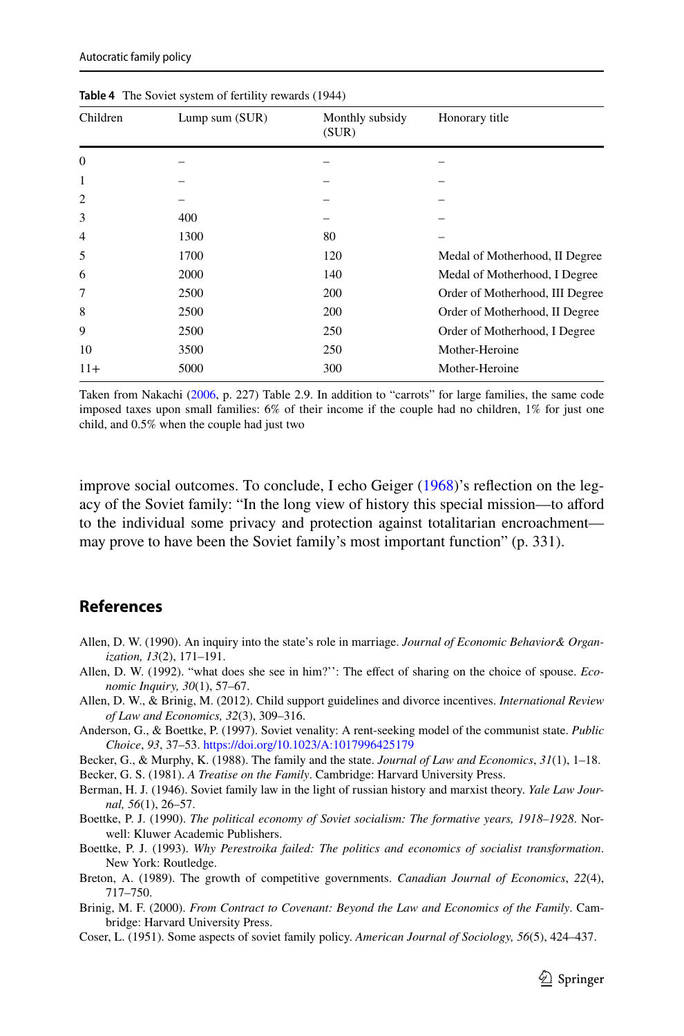| Children       | Lump sum (SUR) | Monthly subsidy<br>(SUR) | Honorary title                  |
|----------------|----------------|--------------------------|---------------------------------|
| $\mathbf{0}$   |                |                          |                                 |
| 1              |                |                          |                                 |
| $\overline{2}$ |                |                          |                                 |
| 3              | 400            |                          |                                 |
| $\overline{4}$ | 1300           | 80                       |                                 |
| 5              | 1700           | 120                      | Medal of Motherhood, II Degree  |
| 6              | 2000           | 140                      | Medal of Motherhood, I Degree   |
| 7              | 2500           | 200                      | Order of Motherhood, III Degree |
| 8              | 2500           | 200                      | Order of Motherhood, II Degree  |
| 9              | 2500           | 250                      | Order of Motherhood, I Degree   |
| 10             | 3500           | 250                      | Mother-Heroine                  |
| $11+$          | 5000           | 300                      | Mother-Heroine                  |

<span id="page-18-11"></span>**Table 4** The Soviet system of fertility rewards (1944)

Taken from Nakachi ([2006,](#page-19-4) p. 227) Table 2.9. In addition to "carrots" for large families, the same code imposed taxes upon small families: 6% of their income if the couple had no children, 1% for just one child, and 0.5% when the couple had just two

improve social outcomes. To conclude, I echo Geiger ([1968\)](#page-19-7)'s refection on the legacy of the Soviet family: "In the long view of history this special mission—to aford to the individual some privacy and protection against totalitarian encroachment may prove to have been the Soviet family's most important function" (p. 331).

#### **References**

- <span id="page-18-8"></span>Allen, D. W. (1990). An inquiry into the state's role in marriage. *Journal of Economic Behavior& Organization, 13*(2), 171–191.
- <span id="page-18-10"></span>Allen, D. W. (1992). "what does she see in him?'': The efect of sharing on the choice of spouse. *Economic Inquiry, 30*(1), 57–67.
- <span id="page-18-9"></span>Allen, D. W., & Brinig, M. (2012). Child support guidelines and divorce incentives. *International Review of Law and Economics, 32*(3), 309–316.
- <span id="page-18-5"></span>Anderson, G., & Boettke, P. (1997). Soviet venality: A rent-seeking model of the communist state. *Public Choice*, *93*, 37–53. <https://doi.org/10.1023/A:1017996425179>
- <span id="page-18-6"></span>Becker, G., & Murphy, K. (1988). The family and the state. *Journal of Law and Economics*, *31*(1), 1–18.
- <span id="page-18-7"></span>Becker, G. S. (1981). *A Treatise on the Family*. Cambridge: Harvard University Press.
- <span id="page-18-0"></span>Berman, H. J. (1946). Soviet family law in the light of russian history and marxist theory. *Yale Law Journal, 56*(1), 26–57.
- <span id="page-18-3"></span>Boettke, P. J. (1990). *The political economy of Soviet socialism: The formative years, 1918–1928*. Norwell: Kluwer Academic Publishers.
- <span id="page-18-4"></span>Boettke, P. J. (1993). *Why Perestroika failed: The politics and economics of socialist transformation*. New York: Routledge.
- <span id="page-18-12"></span>Breton, A. (1989). The growth of competitive governments. *Canadian Journal of Economics*, *22*(4), 717–750.
- <span id="page-18-2"></span>Brinig, M. F. (2000). *From Contract to Covenant: Beyond the Law and Economics of the Family*. Cambridge: Harvard University Press.
- <span id="page-18-1"></span>Coser, L. (1951). Some aspects of soviet family policy. *American Journal of Sociology, 56*(5), 424–437.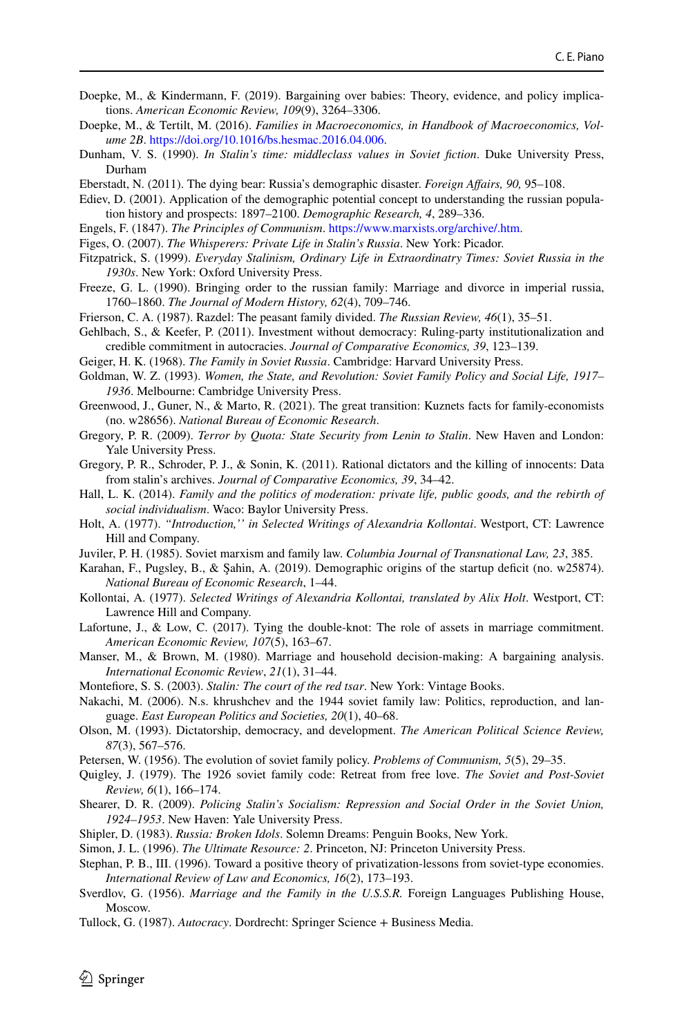- <span id="page-19-15"></span>Doepke, M., & Kindermann, F. (2019). Bargaining over babies: Theory, evidence, and policy implications. *American Economic Review, 109*(9), 3264–3306.
- <span id="page-19-11"></span>Doepke, M., & Tertilt, M. (2016). *Families in Macroeconomics, in Handbook of Macroeconomics, Volume 2B*. [https://doi.org/10.1016/bs.hesmac.2016.04.006.](https://doi.org/10.1016/bs.hesmac.2016.04.006)
- <span id="page-19-31"></span>Dunham, V. S. (1990). *In Stalin's time: middleclass values in Soviet fction*. Duke University Press, Durham
- <span id="page-19-33"></span>Eberstadt, N. (2011). The dying bear: Russia's demographic disaster. *Foreign Afairs, 90,* 95–108.
- <span id="page-19-23"></span>Ediev, D. (2001). Application of the demographic potential concept to understanding the russian population history and prospects: 1897–2100. *Demographic Research, 4*, 289–336.
- <span id="page-19-19"></span>Engels, F. (1847). *The Principles of Communism*.<https://www.marxists.org/archive/.htm>.
- <span id="page-19-27"></span>Figes, O. (2007). *The Whisperers: Private Life in Stalin's Russia*. New York: Picador.
- <span id="page-19-28"></span>Fitzpatrick, S. (1999). *Everyday Stalinism, Ordinary Life in Extraordinatry Times: Soviet Russia in the 1930s*. New York: Oxford University Press.
- <span id="page-19-24"></span>Freeze, G. L. (1990). Bringing order to the russian family: Marriage and divorce in imperial russia, 1760–1860. *The Journal of Modern History, 62*(4), 709–746.
- <span id="page-19-20"></span>Frierson, C. A. (1987). Razdel: The peasant family divided. *The Russian Review, 46*(1), 35–51.
- <span id="page-19-10"></span>Gehlbach, S., & Keefer, P. (2011). Investment without democracy: Ruling-party institutionalization and credible commitment in autocracies. *Journal of Comparative Economics, 39*, 123–139.

<span id="page-19-7"></span>Geiger, H. K. (1968). *The Family in Soviet Russia*. Cambridge: Harvard University Press.

- <span id="page-19-5"></span>Goldman, W. Z. (1993). *Women, the State, and Revolution: Soviet Family Policy and Social Life, 1917– 1936*. Melbourne: Cambridge University Press.
- <span id="page-19-32"></span>Greenwood, J., Guner, N., & Marto, R. (2021). The great transition: Kuznets facts for family-economists (no. w28656). *National Bureau of Economic Research*.
- <span id="page-19-29"></span>Gregory, P. R. (2009). *Terror by Quota: State Security from Lenin to Stalin*. New Haven and London: Yale University Press.
- <span id="page-19-9"></span>Gregory, P. R., Schroder, P. J., & Sonin, K. (2011). Rational dictators and the killing of innocents: Data from stalin's archives. *Journal of Comparative Economics, 39*, 34–42.
- <span id="page-19-22"></span>Hall, L. K. (2014). *Family and the politics of moderation: private life, public goods, and the rebirth of social individualism*. Waco: Baylor University Press.
- <span id="page-19-6"></span>Holt, A. (1977). *"Introduction,'' in Selected Writings of Alexandria Kollontai*. Westport, CT: Lawrence Hill and Company.
- <span id="page-19-13"></span>Juviler, P. H. (1985). Soviet marxism and family law. *Columbia Journal of Transnational Law, 23*, 385.
- <span id="page-19-18"></span>Karahan, F., Pugsley, B., & Şahin, A. (2019). Demographic origins of the startup defcit (no. w25874). *National Bureau of Economic Research*, 1–44.
- <span id="page-19-0"></span>Kollontai, A. (1977). *Selected Writings of Alexandria Kollontai, translated by Alix Holt*. Westport, CT: Lawrence Hill and Company.
- <span id="page-19-12"></span>Lafortune, J., & Low, C. (2017). Tying the double-knot: The role of assets in marriage commitment. *American Economic Review, 107*(5), 163–67.
- <span id="page-19-26"></span>Manser, M., & Brown, M. (1980). Marriage and household decision-making: A bargaining analysis. *International Economic Review*, *21*(1), 31–44.
- <span id="page-19-25"></span>Montefore, S. S. (2003). *Stalin: The court of the red tsar*. New York: Vintage Books.
- <span id="page-19-4"></span>Nakachi, M. (2006). N.s. khrushchev and the 1944 soviet family law: Politics, reproduction, and language. *East European Politics and Societies, 20*(1), 40–68.
- <span id="page-19-16"></span>Olson, M. (1993). Dictatorship, democracy, and development. *The American Political Science Review, 87*(3), 567–576.
- <span id="page-19-2"></span>Petersen, W. (1956). The evolution of soviet family policy. *Problems of Communism, 5*(5), 29–35.
- <span id="page-19-3"></span>Quigley, J. (1979). The 1926 soviet family code: Retreat from free love. *The Soviet and Post-Soviet Review, 6*(1), 166–174.
- <span id="page-19-30"></span>Shearer, D. R. (2009). *Policing Stalin's Socialism: Repression and Social Order in the Soviet Union, 1924–1953*. New Haven: Yale University Press.
- <span id="page-19-21"></span>Shipler, D. (1983). *Russia: Broken Idols*. Solemn Dreams: Penguin Books, New York.
- <span id="page-19-17"></span>Simon, J. L. (1996). *The Ultimate Resource: 2*. Princeton, NJ: Princeton University Press.
- <span id="page-19-14"></span>Stephan, P. B., III. (1996). Toward a positive theory of privatization-lessons from soviet-type economies. *International Review of Law and Economics, 16*(2), 173–193.
- <span id="page-19-1"></span>Sverdlov, G. (1956). *Marriage and the Family in the U.S.S.R.* Foreign Languages Publishing House, Moscow.
- <span id="page-19-8"></span>Tullock, G. (1987). *Autocracy*. Dordrecht: Springer Science + Business Media.